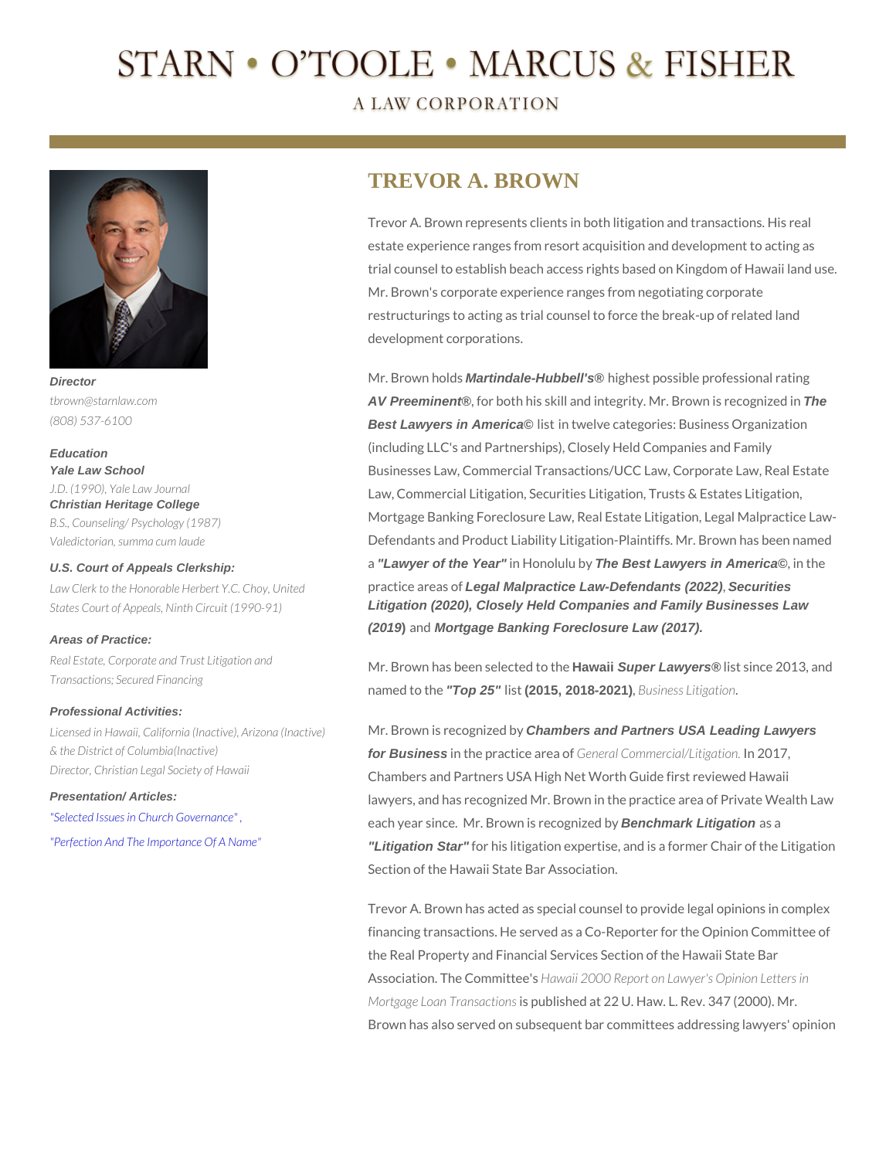# TREVOR A. BROWN

Trevor A. Brown represents clients in both litigation and estate experience ranges from resort acquisition and de trial counsel to establish beach access rights based on Mr. Brown's corporate experience ranges from negotiating restructurings to acting as trial counsel to force the bre development corporations.

Mr. Brow on Indaartindale-Hubbell's ® highest possible professional AV Preeminent ®, for both his skill and integrity. MrTh& rown is Best Lawyers in America © lisitn twelve categories: Business Orga (including LLC's and Partnerships), Closely Held Compa Businesses Law, Commercial Transactions/UCC Law, Co Law, Commercial Litigation, Securities Litigation, Trusta Mortgage Banking Foreclosure Law, Real Estate Litigati Defendants and Product Liability MLnitiBao wom - Pasibeief fisnar a"Lawyer of the Year" in Honol The Bbst Lawyers in America ©, in the

Law Clerk to the Honorable Herbert YPCa Chiog, aLegansMelpractice Law-Defendants (2022) Securities States Court of Appeals, Ninth Circuit (1990-1900), Closely Held Companies and Family Businesses Law (2019) an Mortgage Banking Foreclosure Law (2017).

#### Areas of Practice:

named töldph $25$ " lis(2015, 2018-2021), Business Litigation Transactions; Secured Financing

Real Estate, Corporate and Trust Litigation and has been sblaw and Super baw heres list since 2013, a

### Professional Activities:

Licensed in Hawaii, California (InactiMe), ENropyona Silnea Congregation Partners USA Leading Lawyers & the District of Columbia(Inactive) for Business in the practic@eanneeraaloCommercialn/12i0tig7ation. Director, Christian Legal Society of Hawain bers and Partners USA High Net Worth Guide first lawyers, and has recognized Mr. Brown in the practice a ["Selected Issues in Ch](https://www.starnlaw.com/files/Selected_Issues_in_Church_Governance.pdf)urch Governan & Bach year since. Mr. Brow Benchmark Loitgatione dabya ["Perfection And The Impo](https://www.starnlaw.com/files/Perfection_And_The_Importance_Of_A_Name.pdf)rtance Of A "Ling Enion" for his litigation expertise, and is a former C Presentation/ Articles:

Section of the Hawaii State Bar Association.

Trevor A. Brown has acted as special counsel to provide financing transactions. He served as a Co-Reporter for the Real Property and Financial Services Section of the Association. The CHo anw mailtite 260' \$0 Report on Lawyer's Opini Mortgage Loan Tianpsuabclitisohnesd at 22 U. Haw. L. Rev. 347 Brown has also served on subsequent bar committees ad

# Director tbrown@starnlaw.com (808) 537-6100

U.S. Court of Appeals Clerkship:

Education Yale Law School J.D. (1990), Yale Law Journal Christian Heritage College B.S., Counseling/ Psychology (1987) Valedictorian, summa cum laude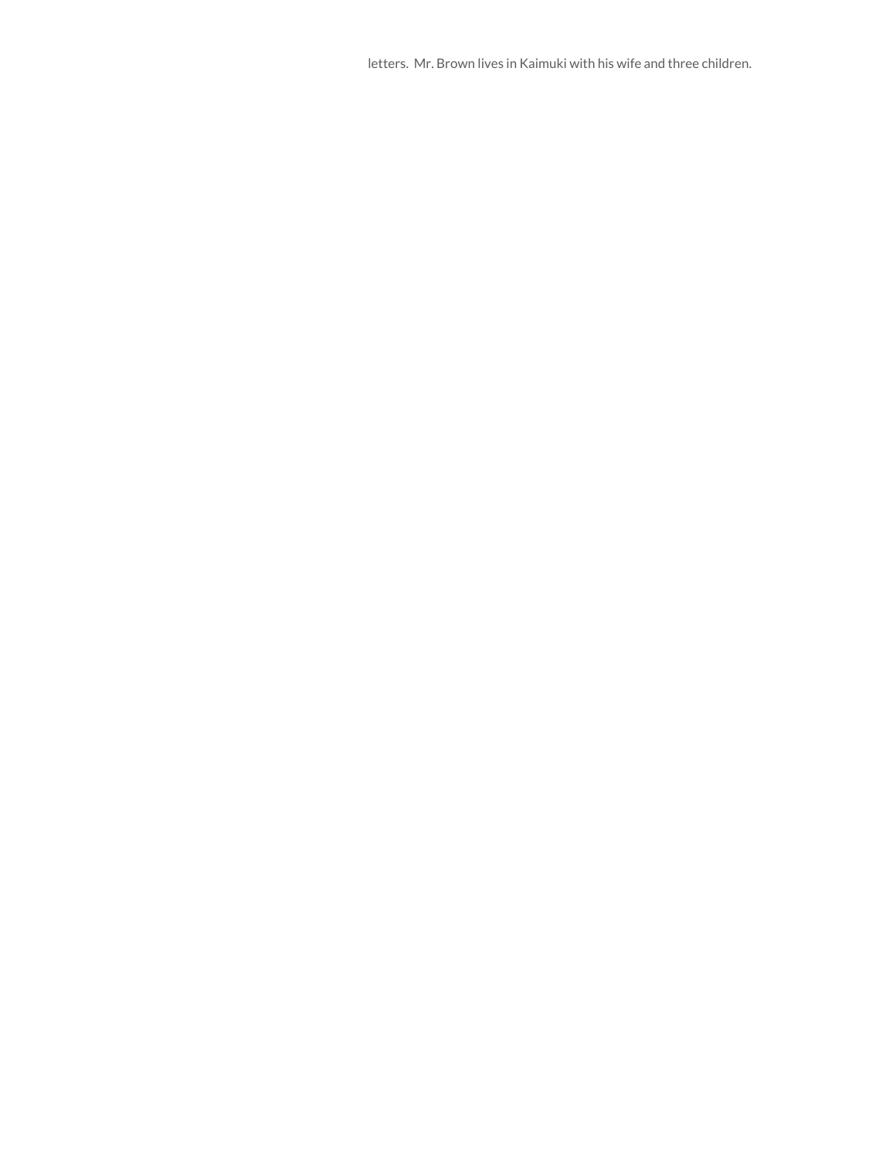letters. Mr. Brown lives in Kaimuki with his wife and three children.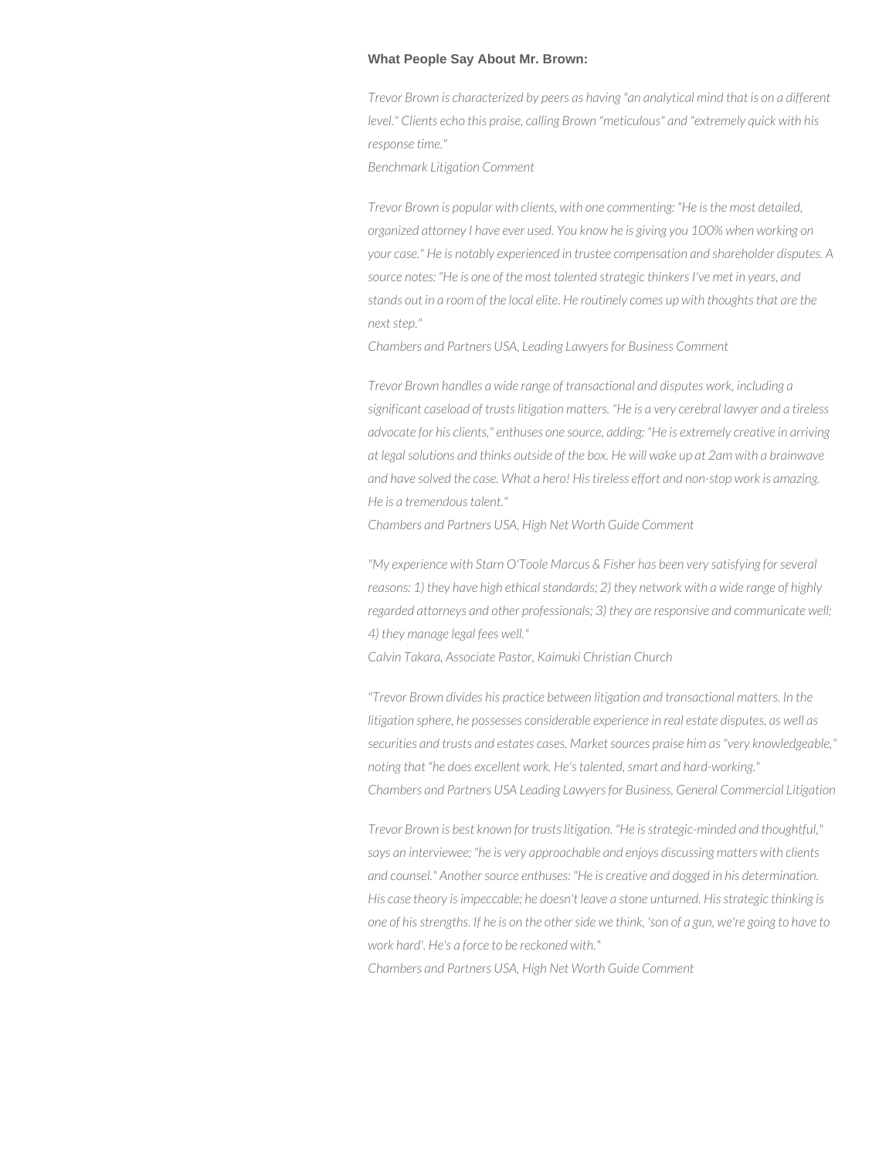## **What People Say About Mr. Brown:**

*Trevor Brown is characterized by peers as having "an analytical mind that is on a different level." Clients echo this praise, calling Brown "meticulous" and "extremely quick with his response time."*

*Benchmark Litigation Comment*

*Trevor Brown is popular with clients, with one commenting: "He is the most detailed, organized attorney I have ever used. You know he is giving you 100% when working on your case." He is notably experienced in trustee compensation and shareholder disputes. A source notes: "He is one of the most talented strategic thinkers I've met in years, and stands out in a room of the local elite. He routinely comes up with thoughts that are the next step."*

*Chambers and Partners USA, Leading Lawyers for Business Comment*

*Trevor Brown handles a wide range of transactional and disputes work, including a significant caseload of trusts litigation matters. "He is a very cerebral lawyer and a tireless advocate for his clients," enthuses one source, adding: "He is extremely creative in arriving at legal solutions and thinks outside of the box. He will wake up at 2am with a brainwave and have solved the case. What a hero! His tireless effort and non-stop work is amazing. He is a tremendous talent."*

*Chambers and Partners USA, High Net Worth Guide Comment* 

*"My experience with Starn O'Toole Marcus & Fisher has been very satisfying for several reasons: 1) they have high ethical standards; 2) they network with a wide range of highly regarded attorneys and other professionals; 3) they are responsive and communicate well; 4) they manage legal fees well."*

*Calvin Takara, Associate Pastor, Kaimuki Christian Church*

*"Trevor Brown divides his practice between litigation and transactional matters. In the litigation sphere, he possesses considerable experience in real estate disputes, as well as securities and trusts and estates cases. Market sources praise him as "very knowledgeable," noting that "he does excellent work. He's talented, smart and hard-working." Chambers and Partners USA Leading Lawyers for Business, General Commercial Litigation*

*Trevor Brown is best known for trusts litigation. "He is strategic-minded and thoughtful," says an interviewee; "he is very approachable and enjoys discussing matters with clients and counsel." Another source enthuses: "He is creative and dogged in his determination. His case theory is impeccable; he doesn't leave a stone unturned. His strategic thinking is one of his strengths. If he is on the other side we think, 'son of a gun, we're going to have to work hard'. He's a force to be reckoned with."*

*Chambers and Partners USA, High Net Worth Guide Comment*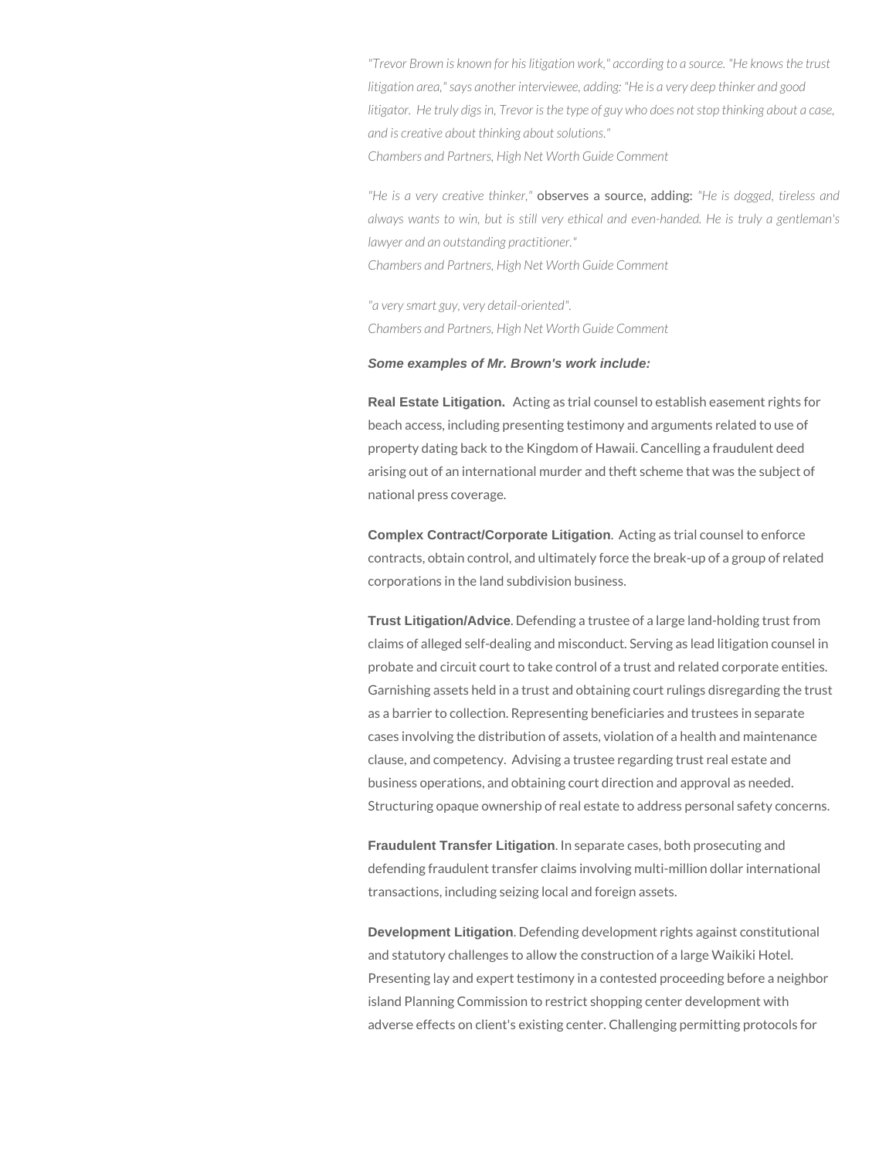*"Trevor Brown is known for his litigation work," according to a source. "He knows the trust litigation area," says another interviewee, adding: "He is a very deep thinker and good litigator. He truly digs in, Trevor is the type of guy who does not stop thinking about a case, and is creative about thinking about solutions." Chambers and Partners, High Net Worth Guide Comment*

*"He is a very creative thinker,"* observes a source, adding: *"He is dogged, tireless and always wants to win, but is still very ethical and even-handed. He is truly a gentleman's lawyer and an outstanding practitioner." Chambers and Partners, High Net Worth Guide Comment*

*"a very smart guy, very detail-oriented". Chambers and Partners, High Net Worth Guide Comment*

### **Some examples of Mr. Brown's work include:**

**Real Estate Litigation.** Acting as trial counsel to establish easement rights for beach access, including presenting testimony and arguments related to use of property dating back to the Kingdom of Hawaii. Cancelling a fraudulent deed arising out of an international murder and theft scheme that was the subject of national press coverage.

**Complex Contract/Corporate Litigation**. Acting as trial counsel to enforce contracts, obtain control, and ultimately force the break-up of a group of related corporations in the land subdivision business.

**Trust Litigation/Advice**. Defending a trustee of a large land-holding trust from claims of alleged self-dealing and misconduct. Serving as lead litigation counsel in probate and circuit court to take control of a trust and related corporate entities. Garnishing assets held in a trust and obtaining court rulings disregarding the trust as a barrier to collection. Representing beneficiaries and trustees in separate cases involving the distribution of assets, violation of a health and maintenance clause, and competency. Advising a trustee regarding trust real estate and business operations, and obtaining court direction and approval as needed. Structuring opaque ownership of real estate to address personal safety concerns.

**Fraudulent Transfer Litigation**. In separate cases, both prosecuting and defending fraudulent transfer claims involving multi-million dollar international transactions, including seizing local and foreign assets.

**Development Litigation**. Defending development rights against constitutional and statutory challenges to allow the construction of a large Waikiki Hotel. Presenting lay and expert testimony in a contested proceeding before a neighbor island Planning Commission to restrict shopping center development with adverse effects on client's existing center. Challenging permitting protocols for